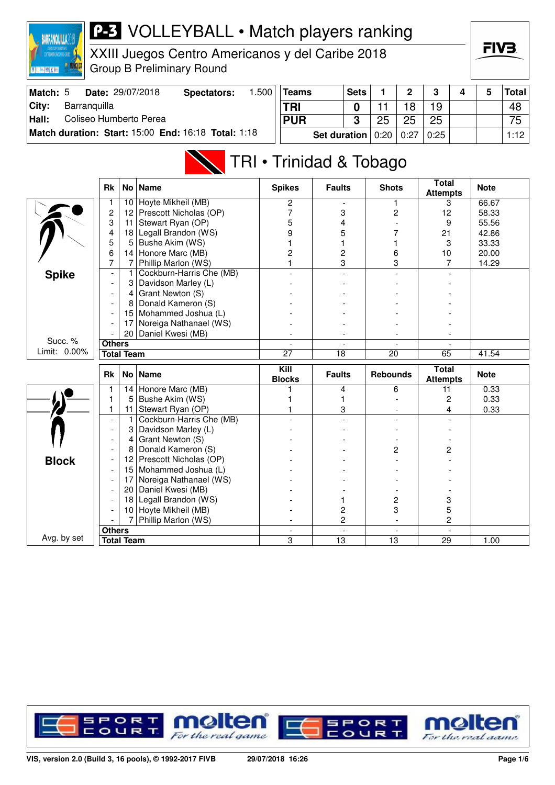

XXIII Juegos Centro Americanos y del Caribe 2018 Group B Preliminary Round

| Match: 5 | Date: 29/07/2018                                    | Spectators: | .500 | <b>Teams</b>               | <b>Sets</b> |    | $\mathbf{\Omega}$ | ົ    |  | Total |
|----------|-----------------------------------------------------|-------------|------|----------------------------|-------------|----|-------------------|------|--|-------|
| City:    | Barranguilla                                        |             |      | <b>TRI</b>                 |             |    |                   | 19   |  | 48    |
| Hall:    | Coliseo Humberto Perea                              |             |      | <b>PUR</b>                 |             | 25 | 25                | 25   |  | 75    |
|          | Match duration: Start: 15:00 End: 16:18 Total: 1:18 |             |      | Set duration $0:20$   0:27 |             |    |                   | 0:25 |  | 1:12  |

## TRI • Trinidad & Tobago

|              | <b>Rk</b>                | No l | <b>Name</b>              | <b>Spikes</b>                       | <b>Faults</b>  | <b>Shots</b>    | <b>Total</b><br><b>Attempts</b> | <b>Note</b> |
|--------------|--------------------------|------|--------------------------|-------------------------------------|----------------|-----------------|---------------------------------|-------------|
|              | 1                        | 10   | Hoyte Mikheil (MB)       | 2                                   |                |                 | 3                               | 66.67       |
|              | $\overline{c}$           | 12   | Prescott Nicholas (OP)   | 7                                   | 3              | $\overline{c}$  | 12                              | 58.33       |
|              | 3                        | 11   | Stewart Ryan (OP)        | 5                                   | 4              |                 | 9                               | 55.56       |
|              | 4                        | 18   | Legall Brandon (WS)      | 9                                   | 5              | 7               | 21                              | 42.86       |
|              | 5                        | 5    | Bushe Akim (WS)          |                                     | 1              |                 | 3                               | 33.33       |
|              | 6                        | 14   | Honore Marc (MB)         | 2                                   | $\overline{c}$ | 6               | 10                              | 20.00       |
|              | 7                        | 7    | Phillip Marlon (WS)      |                                     | 3              | 3               | 7                               | 14.29       |
| <b>Spike</b> | $\overline{\phantom{a}}$ | 1    | Cockburn-Harris Che (MB) |                                     |                |                 |                                 |             |
|              |                          | 3    | Davidson Marley (L)      |                                     |                |                 |                                 |             |
|              |                          | 4    | Grant Newton (S)         |                                     |                |                 |                                 |             |
|              |                          | 8    | Donald Kameron (S)       |                                     |                |                 |                                 |             |
|              |                          | 15   | Mohammed Joshua (L)      |                                     |                |                 |                                 |             |
|              |                          | 17   | Noreiga Nathanael (WS)   |                                     |                |                 |                                 |             |
|              |                          | 20   | Daniel Kwesi (MB)        |                                     |                |                 |                                 |             |
| Succ. %      | <b>Others</b>            |      |                          |                                     |                |                 |                                 |             |
| Limit: 0.00% | <b>Total Team</b>        |      | $\overline{27}$          | 18                                  | 20             | 65              | 41.54                           |             |
|              | <b>Rk</b>                |      | No   Name                | $\overline{K}$ ill<br><b>Blocks</b> | <b>Faults</b>  | <b>Rebounds</b> | <b>Total</b><br><b>Attempts</b> | <b>Note</b> |
|              | 1                        | 14   | Honore Marc (MB)         |                                     | 4              | 6               | 11                              | 0.33        |
|              | $\mathbf{1}$             | 5    | Bushe Akim (WS)          |                                     | 1              |                 | 2                               | 0.33        |
|              | 1                        |      | Stewart Ryan (OP)        |                                     |                |                 |                                 |             |
|              |                          | 11   |                          |                                     | 3              |                 | 4                               | 0.33        |
|              | $\overline{\phantom{a}}$ | 1    | Cockburn-Harris Che (MB) |                                     |                |                 |                                 |             |
|              | $\overline{\phantom{a}}$ | 3    | Davidson Marley (L)      |                                     |                |                 |                                 |             |
|              | $\overline{\phantom{a}}$ | 4    | Grant Newton (S)         |                                     |                |                 |                                 |             |
|              |                          | 8    | Donald Kameron (S)       |                                     |                | 2               | 2                               |             |
|              |                          | 12   | Prescott Nicholas (OP)   |                                     |                |                 |                                 |             |
| <b>Block</b> |                          | 15   | Mohammed Joshua (L)      |                                     |                |                 |                                 |             |
|              |                          | 17   | Noreiga Nathanael (WS)   |                                     |                |                 |                                 |             |
|              |                          | 20   | Daniel Kwesi (MB)        |                                     |                |                 |                                 |             |
|              |                          | 18   | Legall Brandon (WS)      |                                     | 1              | 2               | 3                               |             |
|              |                          | 10   | Hoyte Mikheil (MB)       |                                     | 2              | 3               | 5                               |             |
|              |                          | 7    | Phillip Marlon (WS)      |                                     | $\overline{c}$ |                 | 2                               |             |
| Avg. by set  | <b>Others</b>            |      |                          |                                     |                | ÷,              |                                 |             |

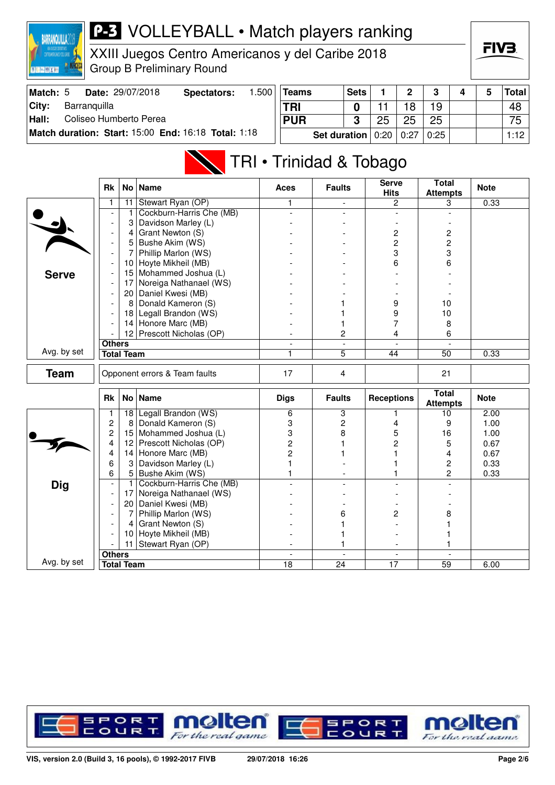

XXIII Juegos Centro Americanos y del Caribe 2018 Group B Preliminary Round



| Match: 5 | Date: 29/07/2018                                    | Spectators: | .500 | Teams                 | <b>Sets</b> |    |      | ≏    |  | Total |
|----------|-----------------------------------------------------|-------------|------|-----------------------|-------------|----|------|------|--|-------|
| City:    | Barranguilla                                        |             |      | TRI                   |             |    | 18   | 19   |  | 48    |
| Hall:    | Coliseo Humberto Perea                              |             |      | <b>PUR</b>            | ≏           | 25 |      | 25   |  | 75    |
|          | Match duration: Start: 15:00 End: 16:18 Total: 1:18 |             |      | Set duration $ 0:20 $ |             |    | 0:27 | 0:25 |  | 1:12  |

# TRI • Trinidad & Tobago

|              | <b>Rk</b>                     |                   | No   Name                 | <b>Aces</b>    | <b>Faults</b>  | <b>Serve</b><br><b>Hits</b> | <b>Total</b><br><b>Attempts</b> | <b>Note</b> |
|--------------|-------------------------------|-------------------|---------------------------|----------------|----------------|-----------------------------|---------------------------------|-------------|
|              | 1                             | 11                | Stewart Ryan (OP)         | 1              |                | $\overline{2}$              | 3                               | 0.33        |
|              |                               | 1                 | Cockburn-Harris Che (MB)  |                |                |                             |                                 |             |
|              |                               | 3                 | Davidson Marley (L)       |                |                |                             |                                 |             |
|              |                               | 4                 | Grant Newton (S)          |                |                | 2                           | 2                               |             |
|              | $\overline{\phantom{a}}$      | 5                 | Bushe Akim (WS)           |                |                | 2                           | $\overline{c}$                  |             |
|              | $\overline{\phantom{a}}$      | 7                 | Phillip Marlon (WS)       |                |                | 3                           | 3                               |             |
|              |                               | 10                | Hoyte Mikheil (MB)        |                |                | 6                           | 6                               |             |
| <b>Serve</b> | $\overline{\phantom{a}}$      | 15                | Mohammed Joshua (L)       |                |                |                             |                                 |             |
|              | $\overline{a}$                | 17                | Noreiga Nathanael (WS)    |                |                |                             |                                 |             |
|              |                               | 20                | Daniel Kwesi (MB)         |                |                |                             |                                 |             |
|              | $\overline{\phantom{a}}$      | 8                 | Donald Kameron (S)        |                |                | 9                           | 10                              |             |
|              |                               |                   | 18 Legall Brandon (WS)    |                |                | 9                           | 10                              |             |
|              |                               |                   | 14 Honore Marc (MB)       |                |                | 7                           | 8                               |             |
|              |                               |                   | 12 Prescott Nicholas (OP) |                | 2              | 4                           | 6                               |             |
|              | <b>Others</b>                 |                   |                           | $\overline{a}$ | $\overline{a}$ | $\mathbf{r}$                | $\overline{a}$                  |             |
| Avg. by set  | <b>Total Team</b>             |                   | 1                         | $\overline{5}$ | 44             | $\overline{50}$             | 0.33                            |             |
| <b>Team</b>  | Opponent errors & Team faults |                   | 17                        | 4              |                | 21                          |                                 |             |
|              | Rk                            | No <sub>1</sub>   | Name                      | <b>Digs</b>    | <b>Faults</b>  | <b>Receptions</b>           | <b>Total</b><br><b>Attempts</b> | <b>Note</b> |
|              | 1                             | 18                | Legall Brandon (WS)       | 6              | 3              |                             | 10                              | 2.00        |
|              | $\overline{c}$                | 8                 | Donald Kameron (S)        | 3              | $\overline{c}$ | 4                           | 9                               | 1.00        |
|              | $\overline{c}$                | 15                | Mohammed Joshua (L)       | 3              | 8              | 5                           | 16                              | 1.00        |
|              | 4                             | 12                | Prescott Nicholas (OP)    | 2              |                | 2                           | 5                               | 0.67        |
|              | 4                             | 14                | Honore Marc (MB)          | 2              |                |                             | 4                               | 0.67        |
|              | 6                             | 3                 | Davidson Marley (L)       |                |                |                             | 2                               | 0.33        |
|              | 6                             |                   | 5 Bushe Akim (WS)         |                |                |                             | $\overline{c}$                  | 0.33        |
| <b>Dig</b>   | $\overline{\phantom{a}}$      | $\mathbf{1}$      | Cockburn-Harris Che (MB)  |                |                |                             |                                 |             |
|              | $\overline{\phantom{a}}$      | 17                | Noreiga Nathanael (WS)    |                |                |                             |                                 |             |
|              | $\overline{\phantom{a}}$      |                   | 20 Daniel Kwesi (MB)      |                |                |                             |                                 |             |
|              |                               | 7                 | Phillip Marlon (WS)       |                | 6              | 2                           | 8                               |             |
|              | $\overline{\phantom{a}}$      | $\overline{4}$    | Grant Newton (S)          |                |                |                             |                                 |             |
|              |                               | 10                | Hoyte Mikheil (MB)        |                |                |                             |                                 |             |
|              |                               | 11                | Stewart Ryan (OP)         |                | 1              |                             | 1                               |             |
|              | <b>Others</b>                 |                   |                           | $\sim$         | $\blacksquare$ | $\sim$                      | $\overline{a}$                  |             |
| Avg. by set  |                               | <b>Total Team</b> |                           | 18             | 24             | 17                          | 59                              | 6.00        |

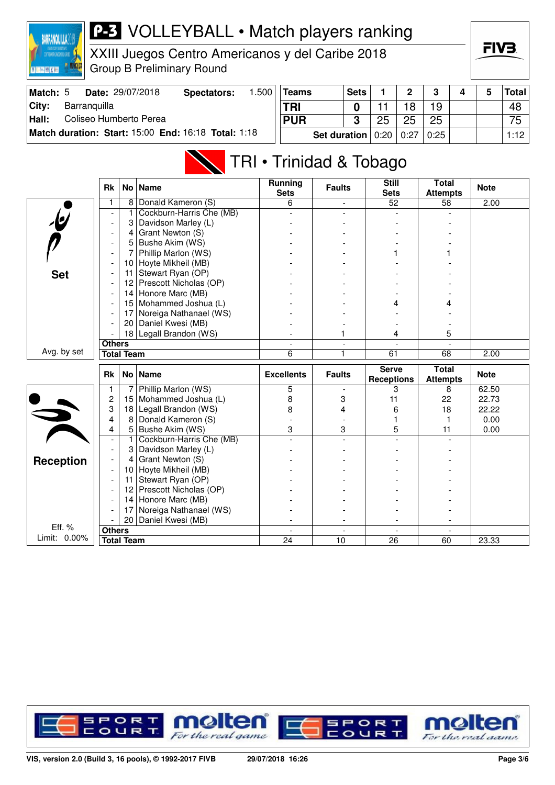

XXIII Juegos Centro Americanos y del Caribe 2018 Group B Preliminary Round

| Match: 5      | <b>Date: 29/07/2018</b>                             | Spectators: | .500 | Teams                         | <b>Sets</b> |    | $\mathbf 2$ | 3    |  | <b>Total</b> |
|---------------|-----------------------------------------------------|-------------|------|-------------------------------|-------------|----|-------------|------|--|--------------|
| City:         | Barranguilla                                        |             |      | <b>TRI</b>                    |             |    | 18          | 19   |  | 48           |
| $\vert$ Hall: | Coliseo Humberto Perea                              |             |      | <b>PUR</b>                    | ൱           | 25 | 25          | 25   |  | 75           |
|               | Match duration: Start: 15:00 End: 16:18 Total: 1:18 |             |      | Set duration $0:20 \mid 0:27$ |             |    |             | 0:25 |  | 1:12         |

## TRI • Trinidad & Tobago

|                        | <b>Rk</b>                          | No l            | <b>Name</b>              | <b>Running</b><br><b>Sets</b> | <b>Faults</b> | <b>Still</b><br><b>Sets</b>       | <b>Total</b><br><b>Attempts</b> | <b>Note</b> |
|------------------------|------------------------------------|-----------------|--------------------------|-------------------------------|---------------|-----------------------------------|---------------------------------|-------------|
|                        | 1                                  | 8 <sup>1</sup>  | Donald Kameron (S)       | 6                             |               | 52                                | 58                              | 2.00        |
| $\overline{b}$         |                                    | 1               | Cockburn-Harris Che (MB) |                               |               |                                   |                                 |             |
|                        | $\blacksquare$                     | 3               | Davidson Marley (L)      |                               |               |                                   |                                 |             |
|                        |                                    | 4               | Grant Newton (S)         |                               |               |                                   |                                 |             |
|                        |                                    | 5               | Bushe Akim (WS)          |                               |               |                                   |                                 |             |
|                        | $\blacksquare$                     | 7               | Phillip Marlon (WS)      |                               |               |                                   |                                 |             |
|                        |                                    | 10              | Hoyte Mikheil (MB)       |                               |               |                                   |                                 |             |
| <b>Set</b>             |                                    | 11              | Stewart Ryan (OP)        |                               |               |                                   |                                 |             |
|                        |                                    | 12 <sup>2</sup> | Prescott Nicholas (OP)   |                               |               |                                   |                                 |             |
|                        | $\blacksquare$                     | 14              | Honore Marc (MB)         |                               |               |                                   |                                 |             |
|                        |                                    | 15 <sup>1</sup> | Mohammed Joshua (L)      |                               |               | 4                                 |                                 |             |
|                        |                                    | 17              | Noreiga Nathanael (WS)   |                               |               |                                   |                                 |             |
|                        |                                    | 20              | Daniel Kwesi (MB)        |                               |               |                                   |                                 |             |
|                        |                                    |                 | 18 Legall Brandon (WS)   |                               |               | 4                                 | 5                               |             |
|                        | <b>Others</b>                      |                 |                          | $\blacksquare$                |               |                                   |                                 |             |
| Avg. by set            | <b>Total Team</b>                  |                 | 6                        | 1                             | 61            | 68                                | 2.00                            |             |
|                        |                                    |                 |                          |                               |               |                                   |                                 |             |
|                        | <b>Rk</b>                          |                 | No   Name                | <b>Excellents</b>             | <b>Faults</b> | <b>Serve</b><br><b>Receptions</b> | <b>Total</b><br><b>Attempts</b> | <b>Note</b> |
|                        | 1                                  | 7               | Phillip Marlon (WS)      | 5                             |               | 3                                 | 8                               | 62.50       |
|                        | $\overline{c}$                     | 15              | Mohammed Joshua (L)      | 8                             | 3             | 11                                | 22                              | 22.73       |
|                        | 3                                  | 18              | Legall Brandon (WS)      | 8                             | 4             | 6                                 | 18                              | 22.22       |
|                        | 4                                  | 8               | Donald Kameron (S)       |                               |               |                                   | 1                               | 0.00        |
|                        | 4                                  | 5               | Bushe Akim (WS)          | 3                             | 3             | 5                                 | 11                              | 0.00        |
|                        |                                    | $\mathbf{1}$    | Cockburn-Harris Che (MB) |                               |               |                                   |                                 |             |
|                        |                                    | 3               | Davidson Marley (L)      |                               |               |                                   |                                 |             |
|                        |                                    | 4               | Grant Newton (S)         |                               |               |                                   |                                 |             |
| <b>Reception</b>       |                                    | 10              | Hoyte Mikheil (MB)       |                               |               |                                   |                                 |             |
|                        |                                    | 11              | Stewart Ryan (OP)        |                               |               |                                   |                                 |             |
|                        |                                    | 12 <sup>2</sup> | Prescott Nicholas (OP)   |                               |               |                                   |                                 |             |
|                        |                                    | 14              | Honore Marc (MB)         |                               |               |                                   |                                 |             |
|                        |                                    | 17              | Noreiga Nathanael (WS)   |                               |               |                                   |                                 |             |
|                        |                                    | 20              | Daniel Kwesi (MB)        |                               |               |                                   |                                 |             |
| Eff. %<br>Limit: 0.00% | <b>Others</b><br><b>Total Team</b> |                 |                          | 24                            | 10            | 26                                | 60                              | 23.33       |

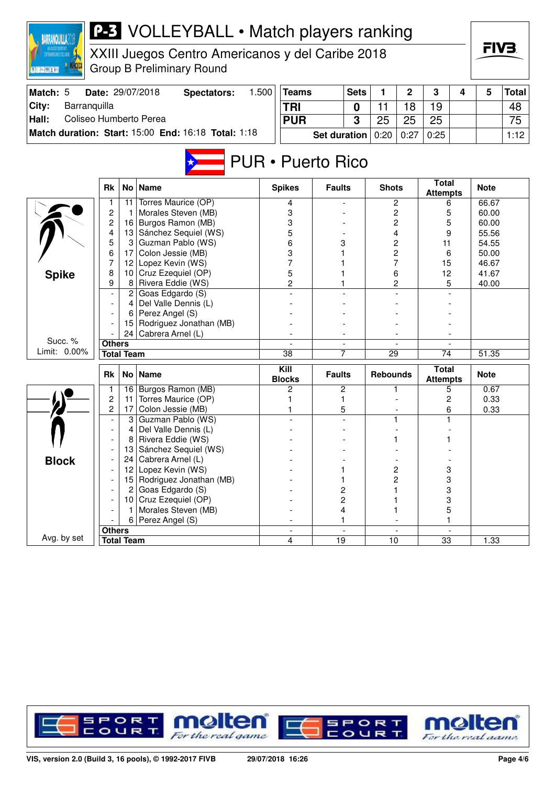| <b>P-3</b> VOLLEYBALL • Match players ranking<br><b>BARRANQUILLA</b><br>XXIII Juegos Centro Americanos y del Caribe 2018 |                                  |                   |                                                     |  |                          |                     |             |                 |                |                                 | FIV3. |                |              |
|--------------------------------------------------------------------------------------------------------------------------|----------------------------------|-------------------|-----------------------------------------------------|--|--------------------------|---------------------|-------------|-----------------|----------------|---------------------------------|-------|----------------|--------------|
| STEDAMERICANOS Y DEL CARRE                                                                                               |                                  |                   | <b>Group B Preliminary Round</b>                    |  |                          |                     |             |                 |                |                                 |       |                |              |
| Match: 5                                                                                                                 |                                  |                   | 1.500<br>Date: 29/07/2018<br><b>Spectators:</b>     |  | <b>Teams</b>             |                     | <b>Sets</b> | 1               | $\overline{2}$ | 3                               | 4     | 5              | <b>Total</b> |
| City:<br>Barranquilla                                                                                                    |                                  |                   |                                                     |  | <b>TRI</b>               |                     | 0           | 11              | 18             | 19                              |       |                | 48           |
| Hall:<br>Coliseo Humberto Perea                                                                                          |                                  |                   |                                                     |  | <b>PUR</b>               |                     |             | 25              | 25             | 25                              |       |                | 75           |
|                                                                                                                          |                                  |                   | Match duration: Start: 15:00 End: 16:18 Total: 1:18 |  |                          | <b>Set duration</b> | 3           | 0:20            | 0:27           | 0:25                            |       |                | 1:12         |
|                                                                                                                          |                                  |                   |                                                     |  |                          |                     |             |                 |                |                                 |       |                |              |
|                                                                                                                          |                                  |                   |                                                     |  | <b>PUR • Puerto Rico</b> |                     |             |                 |                |                                 |       |                |              |
|                                                                                                                          | <b>Rk</b>                        | No <sub>1</sub>   | <b>Name</b>                                         |  | <b>Spikes</b>            | <b>Faults</b>       |             | <b>Shots</b>    |                | <b>Total</b><br><b>Attempts</b> |       | <b>Note</b>    |              |
|                                                                                                                          | 1                                | 11                | Torres Maurice (OP)                                 |  | 4                        |                     |             |                 | 2              | 6                               |       | 66.67          |              |
|                                                                                                                          | $\overline{c}$<br>$\overline{c}$ | -1<br>16          | Morales Steven (MB)<br>Burgos Ramon (MB)            |  | 3<br>3                   |                     |             |                 | 2<br>2         | 5<br>5                          |       | 60.00<br>60.00 |              |
|                                                                                                                          | 4                                |                   | 13 Sánchez Sequiel (WS)                             |  | 5                        |                     |             |                 | 4              | 9                               |       | 55.56          |              |
|                                                                                                                          | 5                                | 3                 | Guzman Pablo (WS)                                   |  | 6                        | 3                   |             |                 | 2              | 11                              |       | 54.55          |              |
|                                                                                                                          | 6                                |                   | 17 Colon Jessie (MB)                                |  | 3                        | 1                   |             | 2<br>7<br>6     |                | 6<br>15                         |       | 50.00          |              |
|                                                                                                                          | 7                                | 12                | Lopez Kevin (WS)                                    |  | 7                        |                     |             |                 |                |                                 |       | 46.67          |              |
| <b>Spike</b>                                                                                                             | 8                                |                   | 10 Cruz Ezequiel (OP)                               |  | 5                        |                     |             |                 |                | 12                              |       | 41.67          |              |
|                                                                                                                          | 9                                | 8                 | Rivera Eddie (WS)                                   |  | $\overline{c}$           | 1                   |             |                 | $\overline{c}$ | 5                               |       | 40.00          |              |
|                                                                                                                          |                                  |                   | 2 Goas Edgardo $(S)$                                |  |                          |                     |             |                 |                |                                 |       |                |              |
|                                                                                                                          |                                  | 4                 | Del Valle Dennis (L)                                |  |                          |                     |             |                 |                |                                 |       |                |              |
|                                                                                                                          |                                  | 6<br>15           | Perez Angel (S)<br>Rodriguez Jonathan (MB)          |  |                          |                     |             |                 |                |                                 |       |                |              |
|                                                                                                                          |                                  | 24                | Cabrera Arnel (L)                                   |  |                          |                     |             |                 |                |                                 |       |                |              |
| Succ. %                                                                                                                  | <b>Others</b>                    |                   |                                                     |  |                          |                     |             | 29              |                | $\overline{74}$                 |       |                |              |
| Limit: 0.00%                                                                                                             |                                  | <b>Total Team</b> |                                                     |  | $\overline{38}$          | 7                   |             |                 |                |                                 |       | 51.35          |              |
|                                                                                                                          |                                  |                   |                                                     |  | Kill                     |                     |             |                 |                |                                 |       |                |              |
|                                                                                                                          | Rk                               | No <sub>1</sub>   | <b>Name</b>                                         |  | <b>Blocks</b>            | <b>Faults</b>       |             | <b>Rebounds</b> |                | <b>Total</b><br><b>Attempts</b> |       | <b>Note</b>    |              |
|                                                                                                                          | $\mathbf{1}$                     |                   | 16 Burgos Ramon (MB)                                |  | 2                        | 2                   |             |                 |                | 5                               |       | 0.67           |              |
|                                                                                                                          | $\overline{c}$<br>$\overline{c}$ | 11<br>17          | Torres Maurice (OP)<br>Colon Jessie (MB)            |  | 1                        | 1<br>5              |             |                 |                | 2                               |       | 0.33<br>0.33   |              |
|                                                                                                                          |                                  | 3                 | Guzman Pablo (WS)                                   |  |                          |                     |             | 1               |                | 6                               |       |                |              |
|                                                                                                                          | $\overline{a}$                   | 4                 | Del Valle Dennis (L)                                |  |                          |                     |             |                 |                |                                 |       |                |              |
|                                                                                                                          |                                  | 8                 | Rivera Eddie (WS)                                   |  |                          |                     |             |                 |                |                                 |       |                |              |
|                                                                                                                          |                                  | 13                | Sánchez Sequiel (WS)                                |  |                          |                     |             |                 |                |                                 |       |                |              |
| <b>Block</b>                                                                                                             |                                  | 24                | Cabrera Arnel (L)                                   |  |                          |                     |             |                 |                |                                 |       |                |              |
|                                                                                                                          |                                  | 12                | Lopez Kevin (WS)                                    |  |                          | 1                   |             |                 | 2              | 3                               |       |                |              |
|                                                                                                                          |                                  | 15                | Rodriguez Jonathan (MB)                             |  |                          | 1                   |             |                 | $\overline{c}$ | 3                               |       |                |              |
|                                                                                                                          |                                  | 2                 | Goas Edgardo (S)                                    |  |                          | 2                   |             |                 |                | 3                               |       |                |              |
|                                                                                                                          |                                  |                   | 10 Cruz Ezequiel (OP)                               |  |                          | 2                   |             |                 |                | 3                               |       |                |              |
|                                                                                                                          |                                  | 6                 | Morales Steven (MB)<br>Perez Angel (S)              |  |                          | 4                   |             |                 |                | 5                               |       |                |              |
|                                                                                                                          | <b>Others</b>                    |                   |                                                     |  |                          | 1                   |             |                 |                |                                 |       |                |              |
| Avg. by set                                                                                                              |                                  | <b>Total Team</b> |                                                     |  | 4                        | 19                  |             | 10              |                | 33                              |       | 1.33           |              |
|                                                                                                                          |                                  |                   |                                                     |  |                          |                     |             |                 |                |                                 |       |                |              |

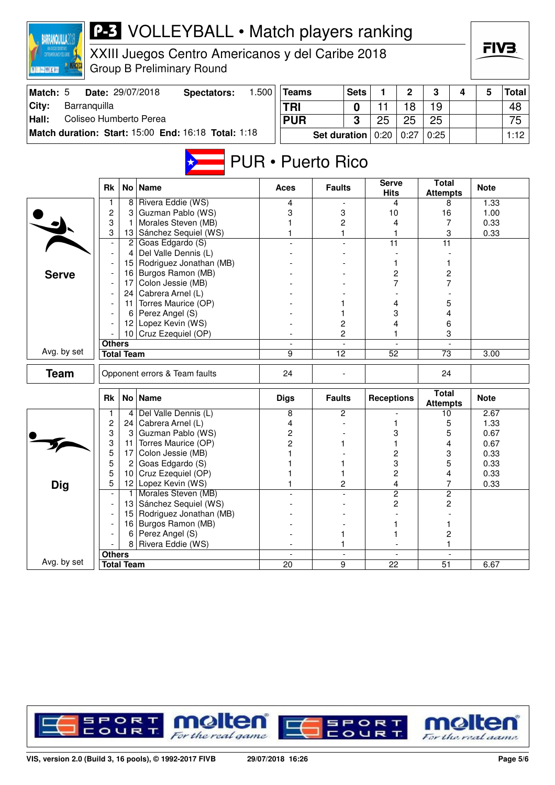| <b>BARRANQUILLA20</b>           | <b>P-3</b> VOLLEYBALL • Match players ranking |                                    |                                                     |       |                          |                     |                          |                             |                          |                                 |   |              |              |
|---------------------------------|-----------------------------------------------|------------------------------------|-----------------------------------------------------|-------|--------------------------|---------------------|--------------------------|-----------------------------|--------------------------|---------------------------------|---|--------------|--------------|
| ENTROANERICANOS Y DEL CARNE     |                                               |                                    | XXIII Juegos Centro Americanos y del Caribe 2018    |       |                          |                     |                          |                             |                          |                                 |   | FIV3.        |              |
| 图 R. [m.] [69] X [m]            |                                               |                                    | <b>Group B Preliminary Round</b>                    |       |                          |                     |                          |                             |                          |                                 |   |              |              |
| Match: 5                        |                                               |                                    | Date: 29/07/2018<br><b>Spectators:</b>              | 1.500 | <b>Teams</b>             |                     | <b>Sets</b>              | 1                           | $\overline{2}$           | 3                               | 4 | 5            | <b>Total</b> |
| City:<br>Barranquilla           |                                               |                                    |                                                     |       | <b>TRI</b>               |                     | 0                        | 11                          | 18                       | 19                              |   |              | 48           |
| Coliseo Humberto Perea<br>Hall: |                                               |                                    |                                                     |       | <b>PUR</b>               |                     | 3                        | 25                          | 25                       | 25                              |   |              | 75           |
|                                 |                                               |                                    | Match duration: Start: 15:00 End: 16:18 Total: 1:18 |       |                          | <b>Set duration</b> |                          | 0:20                        | 0:27                     | 0:25                            |   |              | 1:12         |
|                                 |                                               |                                    |                                                     |       | <b>PUR</b> • Puerto Rico |                     |                          |                             |                          |                                 |   |              |              |
|                                 | <b>Rk</b>                                     |                                    | No   Name                                           |       | Aces                     | <b>Faults</b>       |                          | <b>Serve</b><br><b>Hits</b> |                          | <b>Total</b><br><b>Attempts</b> |   | <b>Note</b>  |              |
|                                 | $\mathbf{1}$                                  |                                    | 8 Rivera Eddie (WS)                                 |       | 4                        |                     |                          |                             | 4                        | 8                               |   | 1.33         |              |
|                                 | $\overline{c}$<br>3                           | 3<br>1                             | Guzman Pablo (WS)<br>Morales Steven (MB)            |       | 3                        | 3<br>2              |                          | 10<br>4                     |                          | 16<br>7                         |   | 1.00<br>0.33 |              |
|                                 | 3                                             |                                    | 13 Sánchez Sequiel (WS)                             |       |                          | 1                   |                          |                             |                          | 3                               |   | 0.33         |              |
|                                 |                                               | Goas Edgardo (S)<br>$\overline{c}$ |                                                     |       |                          |                     |                          | 11                          |                          | $\overline{11}$                 |   |              |              |
|                                 |                                               | 4                                  | Del Valle Dennis (L)                                |       |                          |                     |                          |                             |                          |                                 |   |              |              |
|                                 |                                               |                                    | 15   Rodriguez Jonathan (MB)                        |       |                          |                     |                          | 1                           |                          | 1                               |   |              |              |
| <b>Serve</b>                    |                                               | 16<br>17                           | Burgos Ramon (MB)<br>Colon Jessie (MB)              |       |                          |                     |                          | $\overline{c}$              | 7                        | 2<br>7                          |   |              |              |
|                                 |                                               |                                    | 24   Cabrera Arnel (L)                              |       |                          |                     |                          |                             |                          |                                 |   |              |              |
|                                 |                                               | 11                                 | Torres Maurice (OP)                                 |       |                          | 1                   |                          |                             | 4                        | 5                               |   |              |              |
|                                 |                                               | Perez Angel (S)<br>6               |                                                     |       |                          | 1                   |                          | 3                           |                          | 4                               |   |              |              |
|                                 |                                               | 12                                 | Lopez Kevin (WS)                                    |       |                          | 2                   |                          | 4                           |                          | 6                               |   |              |              |
|                                 |                                               |                                    | 10 Cruz Ezequiel (OP)                               |       |                          | $\overline{c}$      |                          |                             |                          | 3                               |   |              |              |
| Avg. by set                     | <b>Others</b>                                 | <b>Total Team</b>                  |                                                     |       | 9                        | $\overline{12}$     |                          | 52                          |                          | $\overline{73}$                 |   | 3.00         |              |
|                                 |                                               |                                    |                                                     |       |                          |                     |                          |                             |                          |                                 |   |              |              |
| Team                            |                                               |                                    | Opponent errors & Team faults                       |       | 24                       |                     |                          |                             |                          | 24                              |   |              |              |
|                                 | <b>Rk</b>                                     |                                    | No   Name                                           |       | <b>Digs</b>              | <b>Faults</b>       |                          | <b>Receptions</b>           |                          | <b>Total</b><br><b>Attempts</b> |   | <b>Note</b>  |              |
|                                 |                                               | 4                                  | Del Valle Dennis (L)                                |       | 8                        | 2                   |                          |                             |                          | 10                              |   | 2.67         |              |
|                                 | $\boldsymbol{2}$<br>3                         | 24                                 | Cabrera Arnel (L)<br>Guzman Pablo (WS)              |       | 4                        |                     |                          |                             |                          | 5                               |   | 1.33         |              |
|                                 | 3                                             | 3<br>11                            | Torres Maurice (OP)                                 |       | $\overline{c}$<br>2      | 1                   |                          | 1                           | 3                        | 5<br>4                          |   | 0.67<br>0.67 |              |
|                                 | 5                                             | 17                                 | Colon Jessie (MB)                                   |       |                          |                     |                          |                             | 2                        | 3                               |   | 0.33         |              |
|                                 | 5                                             | 2                                  | Goas Edgardo (S)                                    |       |                          | 1                   |                          |                             | 3                        | 5                               |   | 0.33         |              |
|                                 | 5                                             | 10 <sup>1</sup>                    | Cruz Ezequiel (OP)                                  |       |                          | 1                   |                          |                             | $\overline{c}$           | 4                               |   | 0.33         |              |
| <b>Dig</b>                      | 5                                             |                                    | 12 Lopez Kevin (WS)                                 |       |                          | $\overline{c}$      |                          |                             | 4                        | 7                               |   | 0.33         |              |
|                                 |                                               | 1.                                 | Morales Steven (MB)                                 |       |                          |                     |                          |                             | 2                        | $\overline{2}$                  |   |              |              |
|                                 |                                               | 13                                 | Sánchez Sequiel (WS)                                |       |                          |                     |                          |                             | 2                        | $\overline{c}$                  |   |              |              |
|                                 |                                               | 15                                 | Rodriguez Jonathan (MB)<br>16 Burgos Ramon (MB)     |       |                          |                     |                          |                             | 1                        | 1                               |   |              |              |
|                                 |                                               | 6                                  | Perez Angel (S)                                     |       |                          | 1                   |                          |                             | 1                        | $\overline{c}$                  |   |              |              |
|                                 |                                               | 8                                  | Rivera Eddie (WS)                                   |       |                          | 1                   |                          |                             |                          | $\mathbf{1}$                    |   |              |              |
|                                 | <b>Others</b>                                 |                                    |                                                     |       | $\sim$                   |                     | $\overline{\phantom{a}}$ |                             | $\overline{\phantom{a}}$ | $\overline{\phantom{a}}$        |   |              |              |
| Avg. by set                     |                                               | <b>Total Team</b>                  |                                                     |       | $\overline{20}$          | $\overline{9}$      |                          | $\overline{22}$             |                          | $\overline{51}$                 |   | 6.67         |              |